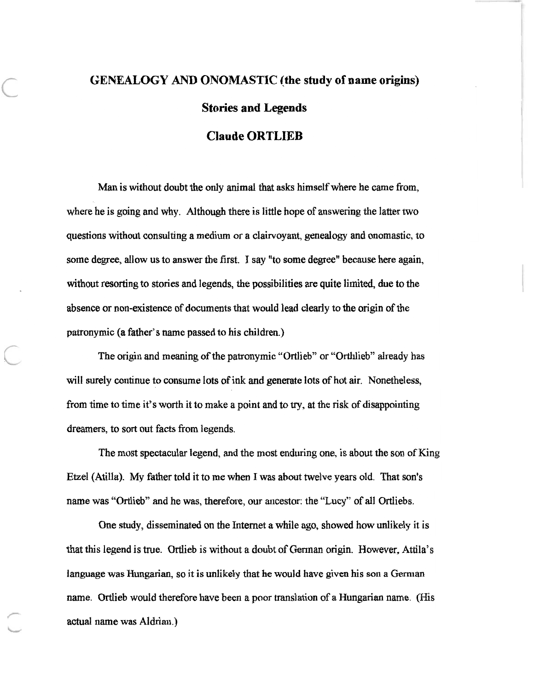## **GENEALOGY AND ONOMASTIC (the study of name origins) Stories and Legends**

## **Claude ORTLIEB**

Man is without doubt the only animal that asks himself where he came from, where he is going and why. Although there is little hope of answering the latter two questions without consulting a medium or a clairvoyant, genealogy and onomastic, to some degree, allow us to answer the first. I say "to some degree" because here again, without resorting to stories and legends, the possibilities are quite limited, due to the absence or non-existence of documents that would lead clearly to the origin of the patronymic (a father's name passed to his children.)

The origin and meaning of the patronymic "Ortlieb" or "Orthlieb" already has will surely continue to consume lots of ink and generate lots of hot air. Nonetheless, from time to time it's worth it to make a point and to try, at the risk of disappointing dreamers, to sort out facts from legends.

The most spectacular legend, and the most enduring one, is about the son of King Etzel (Atilla). My father told it to me when I was about twelve years old. That son's name was "Ortlieb" and he was, therefore, our ancestor: the "Lucy" of all Ortliebs.

One study, disseminated on the Internet a while ago, showed how unlikely it is that this legend is true. Ortlieb is without a doubt of German origin. However, Attila's language was Hungarian, so it is unlikely that he would have given his son a German name. Ortlieb would therefore have been a poor translation of a Hungarian name. (His actual name was Aldrian.)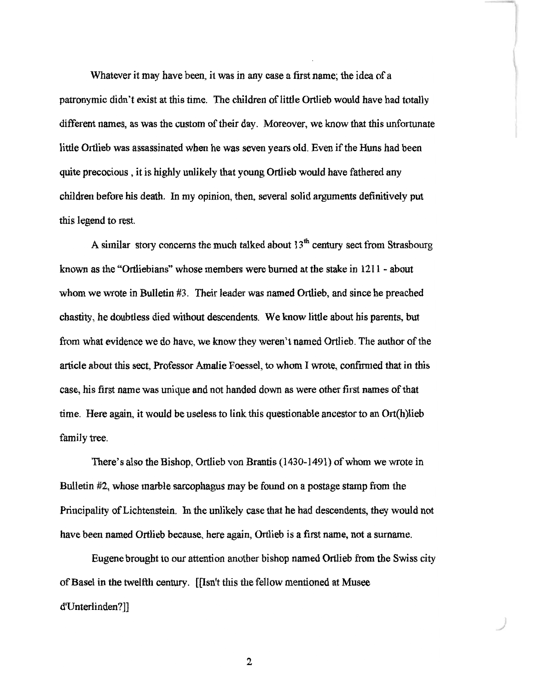Whatever it may have been, it was in any case a first name; the idea of a patronymic didn't exist at this time. The children of little Ortlieb would have had totally different names, as was the custom of their day. Moreover, we know that this unfortunate little Ortlieb was assassinated when he was seven years old. Even if the Huns had been quite precocious , it is highly unlikely that young Ortlieb would have fathered any children before his death. In my opinion, then, several solid arguments definitively put this legend to rest.

A similar story concerns the much talked about  $13<sup>th</sup>$  century sect from Strasbourg known as the "Ortliebians"' whose members were burned at the stake in 1211 - about whom we wrote in Bulletin #3. Their leader was named Ortlieb, and since he preached chastity, he doubtless died without descendents. We know little about his parents, but from what evidence we do have, we know they weren't named Ortlieb. The author of the article about this sect, Professor Amalie Foessel, to whom I wrote, confirmed that in this case, his first name was unique and not handed down as were other first names of that time. Here again, it would be useless to link this questionable ancestor to an Ort(h)lieb family tree.

There's also the Bishop, Ortlieb von Brantis (1430-1491) of whom we wrote in Bulletin #2, whose marble sarcophagus may be found on a postage stamp from the Principality of Lichtenstein. In the unlikely case that he had descendents, they would not have been named Ortlieb because, here again, Ortlieb is a first name, not a surname.

Eugene brought to our attention another bishop named Ortlieb from the Swiss city of Basel in the twelfth century. [[Isn't this the fellow mentioned at Musee d'Unterlinden?]]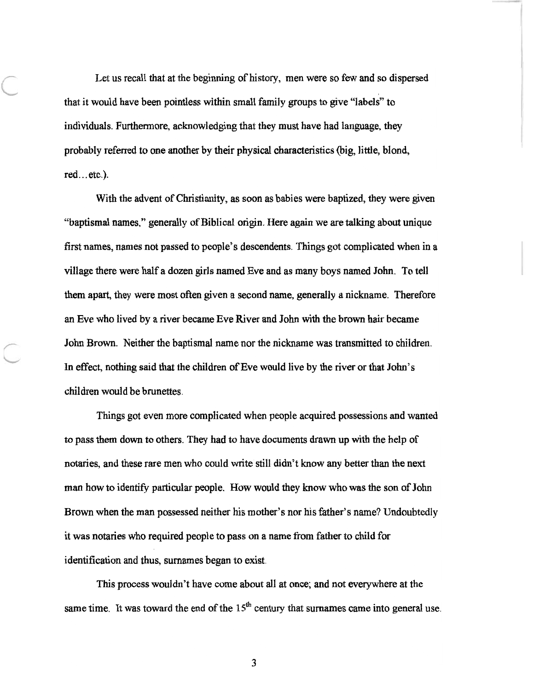Let us recall that at the beginning of history, men were so few and so dispersed that it would have been pointless within small family groups to give "labels" to individuals. Furthermore, acknowledging that they must have had language, they probably referred to one another by their physical characteristics (big, little, blond, red...etc.).

With the advent of Christianity, as soon as babies were baptized, they were given "baptismal names," generally of Biblical origin. Here again we are talking about unique first names, names not passed to people's descendents. Things got complicated when in a village there were half a dozen girls named Eve and as many boys named John. To tell them apart, they were most often given a second name, generally a nickname. Therefore an Eve who lived by a river became Eve River and John with the brown hair became John Brown. Neither the baptismal name nor the nickname was transmitted to children. In effect, nothing said that the children of Eve would live by the river or that John's children would be brunettes.

Things got even more complicated when people acquired possessions and wanted to pass them down to others. They had to have documents drawn up with the help of notaries, and these rare men who could write still didn't know any better than the next man how to identify particular people. How would they know who was the son of John Brown when the man possessed neither his mother's nor his father's name? Undoubtedly it was notaries who required people to pass on a name from father to child for identification and thus, surnames began to exist.

This process wouldn't have come about all at once; and not everywhere at the same time. It was toward the end of the  $15<sup>th</sup>$  century that surnames came into general use.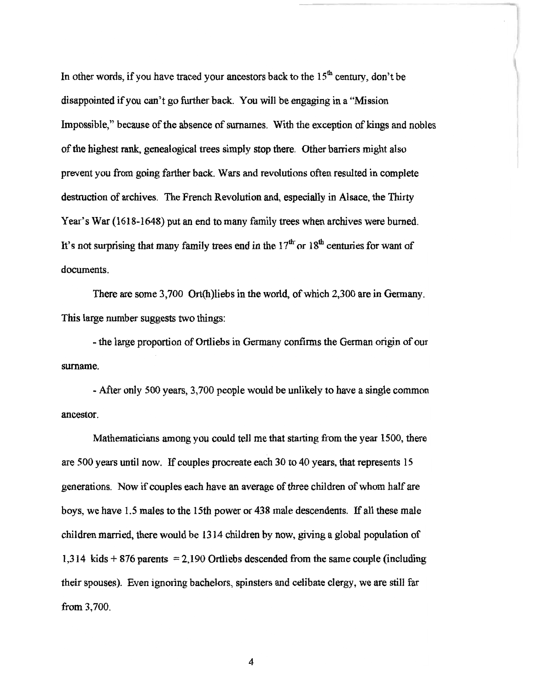In other words, if you have traced your ancestors back to the  $15<sup>th</sup>$  century, don't be disappointed if you can't go further back. You will be engaging in a "Mission Impossible," because of the absence of surnames. With the exception of kings and nobles of the highest rank, genealogical trees simply stop there. Other barriers might also prevent you from going farther back. Wars and revolutions often resulted in complete destruction of archives. The French Revolution and, especially in Alsace, the Thirty Year's War (1618-1648) put an end to many family trees when archives were burned. It's not surprising that many family trees end in the  $17<sup>th</sup>$  or  $18<sup>th</sup>$  centuries for want of documents.

There are some 3,700 Ort(h)liebs in the world, of which 2,300 are in Germany. This large number suggests two things:

- the large proportion of Ortliebs in Germany confirms the German origin of our surname.

- After only 500 years, 3,700 people would be unlikely to have a single common ancestor.

Mathematicians among you could tell me that starting from the year 1500, there are 500 years until now. If couples procreate each 30 to 40 years, that represents 15 generations. Now if couples each have an average of three children of whom half are boys, we have 1.5 males to the 15th power or 438 male descendents. If all these male children married, there would be 13 14 children by now, giving a global population of 1,314 kids  $+876$  parents = 2,190 Ortliebs descended from the same couple (including their spouses). Even ignoring bachelors, spinsters and celibate clergy, we are still far from 3,700.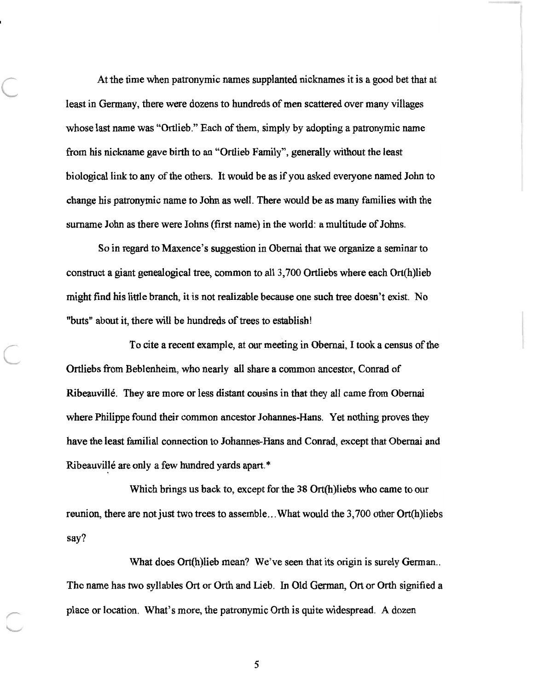At the time when patronymic names supplanted nicknames it is a good bet that at least in Germany, there were dozens to hundreds of men scattered over many villages whose last name was "Ortlieb." Each of them, simply by adopting a patronymic name from his nickname gave birth to an "Ortlieb Family", generally without the least biological link to any of the others. It would be as if you asked everyone named John to change his patronymic name to John as well. There would be as many families with the surname John as there were Johns (first name) in the world: a multitude of Johns.

So in regard to Maxence's suggestion in Obemai that we organize a seminar to construct a giant genealogical tree, common to all 3,700 Ortliebs where each Ort(h)lieb might find his little branch, it is not realizable because one such tree doesn't exist. No "buts" about it, there will be hundreds of trees to establish!

To cite a recent example, at our meeting in Obemai, I took a census of the Ortliebs from Beblenheim, who nearly all share a common ancestor, Conrad of Ribeauville. They are more or less distant cousins in that they all came from Obemai where Philippe found their common ancestor Johannes-Hans. Yet nothing proves they have the least familial connection to Johannes-Hans and Conrad, except that Obemai and Ribeauville are only a few hundred yards apart.\*

Which brings us back to, except for the 38 Ort(h)liebs who came to our reunion, there are not just two trees to assemble...What would the 3,700 other Ort(h)liebs say?

What does Ort(h)lieb mean? We've seen that its origin is surely German... The name has two syllables Ort or Orth and Lieb. In Old German, Ott or Orth signified a place or location. What's more, the patronymic Orth is quite widespread. A dozen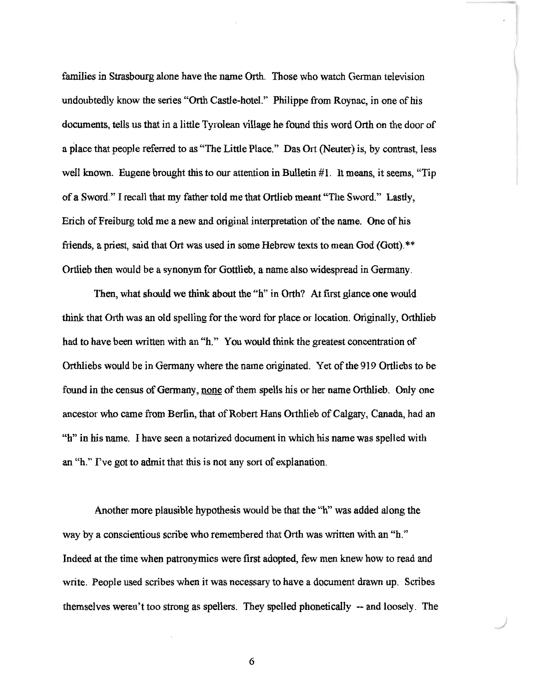families in Strasbourg alone have the name Orth. Those who watch German television undoubtedly know the series "Orth Castle-hotel." Philippe from Roynac, in one of his documents, tells us that in a little Tyrolean village he found this word Orth on the door of a place that people referred to as "The Little Place." Das Ort (Neuter) is, by contrast, less well known. Eugene brought this to our attention in Bulletin #l. It means, it seems, "Tip of a Sword." I recall that my father told me that Ortlieb meant "The Sword." Lastly, Erich of Freiburg told me a new and original interpretation of the name. One of his friends, a priest, said that Ort was used in some Hebrew texts to mean God (Gott).\*\* Ortlieb then would be a synonym for Gottlieb, a name also widespread in Germany.

Then, what should we think about the "h" in Orth? At first glance one would think that Orth was an old spelling for the word for place or location. Originally, Orthlieb had to have been written with an "h." You would think the greatest concentration of Orthliebs would be in Germany where the name originated. Yet of the 919 Ortliebs to be found in the census of Germany, none of them spells his or her name Orthlieb. Only one ancestor who came from Berlin, that of Robert Hans Orthlieb of Calgary, Canada, had an '3" in his name. I have seen a notarized document in which his name was spelled with an "h." I've got to admit that this is not any sort of explanation.

Another more plausible hypothesis would be that the "h" was added along the way by a conscientious scribe who remembered that Orth was written with an "h." Indeed at the time when patronymics were first adopted, few men knew how to read and write. People used scribes when it was necessary to have a document drawn up. Scribes themselves weren't too strong as spellers. They spelled phonetically -- and loosely. The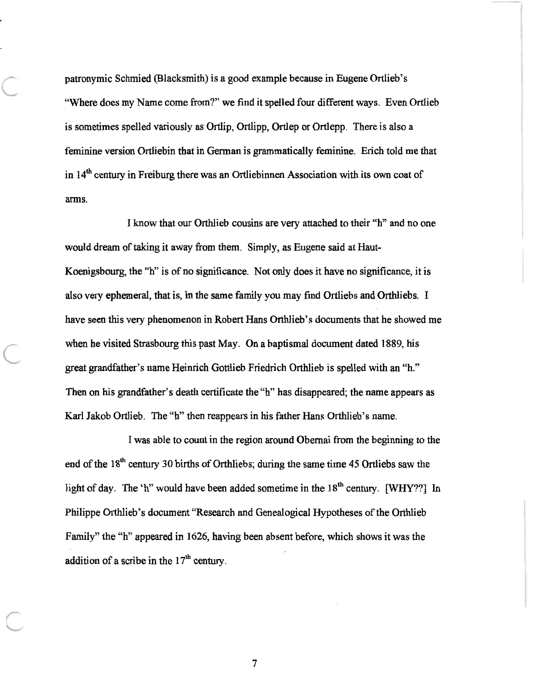patronymic Schmied (Blacksmith) is a good example because in Eugene Ortlieb's "Where does my Name come from?" we find it spelled four different ways. Even Ortlieb is sometimes spelled variously as Ortlip, Ortlipp, Ortlep or Ortlepp. There is also a feminine version Ortliebin that in German is grammatically feminine. Erich told me that in  $14<sup>th</sup>$  century in Freiburg there was an Ortliebinnen Association with its own coat of arms.

I know that our Orthlieb cousins are very attached to their "h" and no one would dream of taking it away from them. Simply, as Eugene said at Haut-Koenigsbourg, the "h" is of no significance. Not only does it have no significance, it is also very ephemeral, that is, in the same family you may find Ortliebs and Orthliebs. I have seen this very phenomenon in Robert Hans Orthlieb's documents that he showed me when he visited Strasbourg this past May. On a baptismal document dated 1889, his great grandfather's name Heinrich Gottlieb Friedrich Orthlieb is spelled with an "h." Then on his grandfather's death certificate the "h" has disappeared; the name appears as Karl Jakob Ortlieb. The "h" then reappears in his father Hans Orthlieb's name.

I was able to count in the region around Obernai from the beginning to the end of the 18<sup>th</sup> century 30 births of Orthliebs; during the same time 45 Ortliebs saw the light of day. The 'h" would have been added sometime in the  $18<sup>th</sup>$  century. [WHY??] In Philippe Orthlieb's document "Research and Genealogical Hypotheses of the Orthlieb Family" the "h" appeared in 1626, having been absent before, which shows it was the addition of a scribe in the  $17<sup>th</sup>$  century.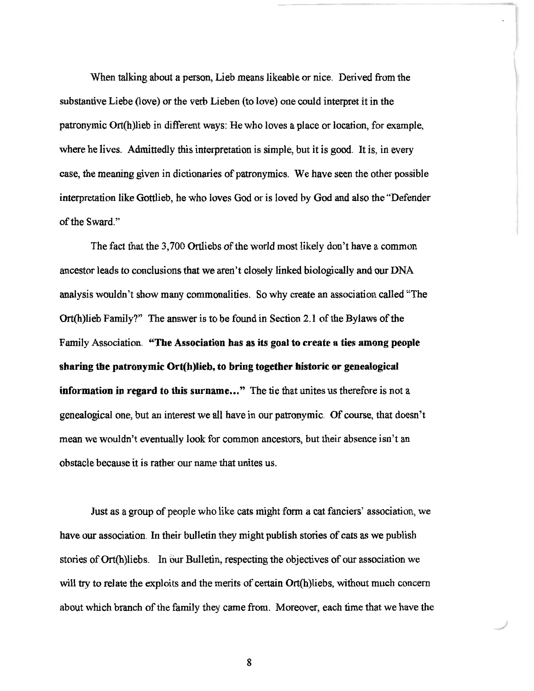When talking about a person, Lieb means likeable or nice. Derived from the substantive Liebe (love) or the verb Lieben (to love) one could interpret it in the patronymic Ort(h)lieb in different ways: He who loves a place or location, for example, where he lives. Admittedly this interpretation is simple, but it is good. It is, in every case, the meaning given in dictionaries of patronymics. We have seen the other possible interpretation like Gottlieb, he who loves God or is loved by God and also the "Defender of the Sward."

The fact that the 3,700 Ortliebs of the world most likely don't have a common ancestor leads to conclusions that we aren't closely linked biologically and our DNA analysis wouldn't show many commonalities. So why create an association called "The Ort(h)lieb Family?" The answer is to be found in Section 2.1 of the Bylaws of the Family Association. **"The Association has as its goal to create a ties among people sharing the patronymic Ort(h)lieb, to bring together historic or genealogical information in regard to this surname..."** The tie that unites us therefore is not a genealogical one, but an interest we all have in our patronymic. Of course, that doesn't mean we wouldn't eventually look for common ancestors, but their absence isn't an obstacle because it is rather our name that unites us.

Just as a group of people who like cats might form a cat fanciers' association, we have our association, In their bulletin they might publish stories of cats as we publish stories of Ort(h)liebs. In our Bulletin, respecting the objectives of our association we will try to relate the exploits and the merits of certain Ort(h)liebs, without much concern about which branch of the family they came from. Moreover, each time that we have the